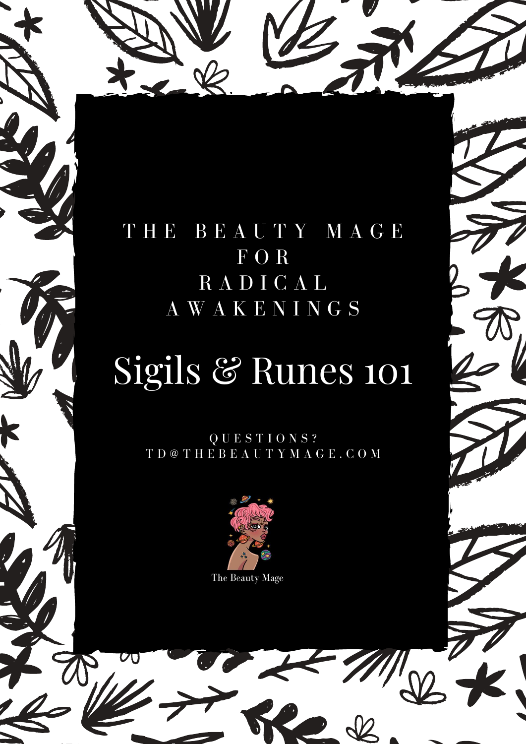

# Sigils & Runes 101

Q U E S T I O N S ? T D @ T H E B E A U T Y M A G E . C O M



The Beauty Mage

 $\overline{C}$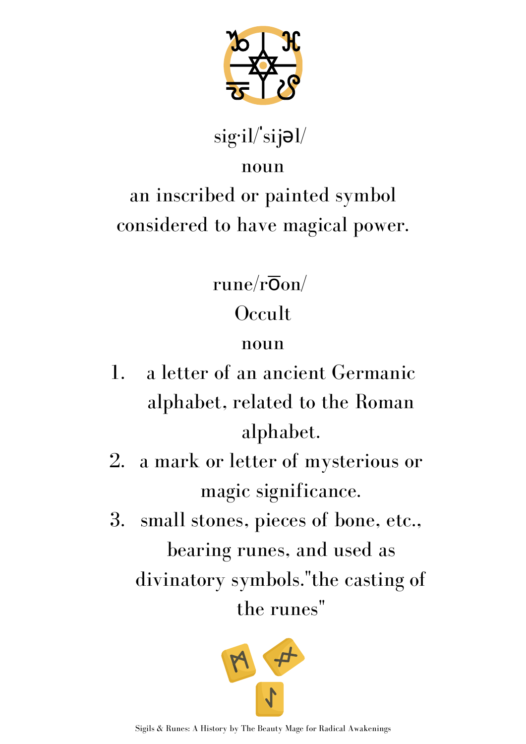

 $sig·il/sijol/$ 

#### noun

### an inscribed or painted symbol considered to have magical power.

rune/ $r\overline{O}$ on/

### **Occult**

#### noun

- a letter of an ancient Germanic alphabet, related to the Roman alphabet. 1.
- a mark or letter of mysterious or magic significance. 2.
- 3. small stones, pieces of bone, etc., bearing runes, and used as divinatory symbols."the casting of the runes "

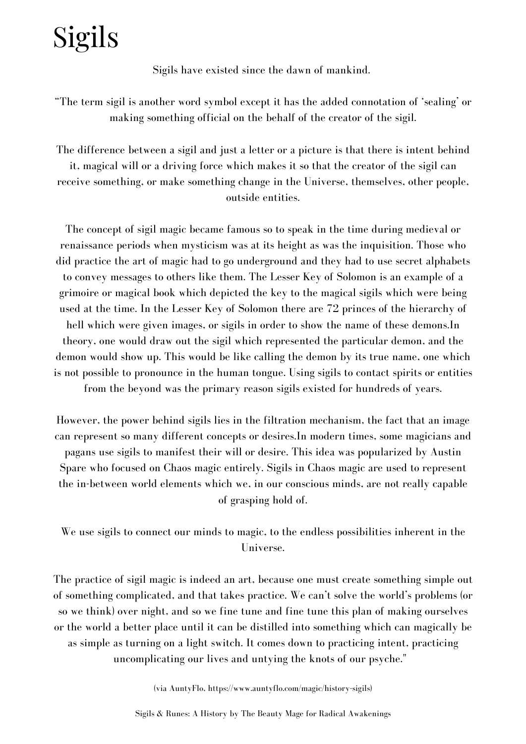## Sigils

Sigils have existed since the dawn of mankind.

"The term sigil is another word symbol except it has the added connotation of 'sealing' or making something official on the behalf of the creator of the sigil.

The difference between a sigil and just a letter or a picture is that there is intent behind it, magical will or a driving force which makes it so that the creator of the sigil can receive something, or make something change in the Universe, themselves, other people, outside entities.

The concept of sigil magic became famous so to speak in the time during medieval or renaissance periods when mysticism was at its height as was the inquisition. Those who did practice the art of magic had to go underground and they had to use secret alphabets to convey messages to others like them. The Lesser Key of Solomon is an example of a grimoire or magical book which depicted the key to the magical sigils which were being used at the time. In the Lesser Key of Solomon there are 72 princes of the hierarchy of hell which were given images, or sigils in order to show the name of these demons.In theory, one would draw out the sigil which represented the particular demon, and the demon would show up. This would be like calling the demon by its true name, one which is not possible to pronounce in the human tongue. Using sigils to contact spirits or entities from the beyond was the primary reason sigils existed for hundreds of years.

However, the power behind sigils lies in the filtration mechanism, the fact that an image can represent so many different concepts or desires.In modern times, some magicians and pagans use sigils to manifest their will or desire. This idea was popularized by Austin Spare who focused on Chaos magic entirely. Sigils in Chaos magic are used to represent the in-between world elements which we, in our conscious minds, are not really capable of grasping hold of.

We use sigils to connect our minds to magic, to the endless possibilities inherent in the Universe.

The practice of sigil magic is indeed an art, because one must create something simple out of something complicated, and that takes practice. We can't solve the world's problems (or so we think) over night, and so we fine tune and fine tune this plan of making ourselves or the world a better place until it can be distilled into something which can magically be as simple as turning on a light switch. It comes down to practicing intent, practicing uncomplicating our lives and untying the knots of our psyche."

(via AuntyFlo, https://www.auntyflo.com/magic/history-sigils)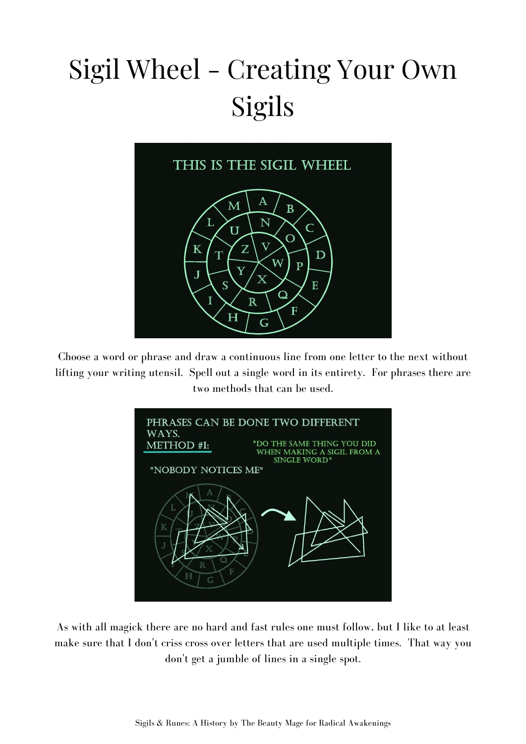## Sigil Wheel - Creating Your Own Sigils



Choose a word or phrase and draw a continuous line from one letter to the next without lifting your writing utensil. Spell out a single word in its entirety. For phrases there are two methods that can be used.



As with all magick there are no hard and fast rules one must follow, but I like to at least make sure that I don't criss cross over letters that are used multiple times. That way you don't get a jumble of lines in a single spot.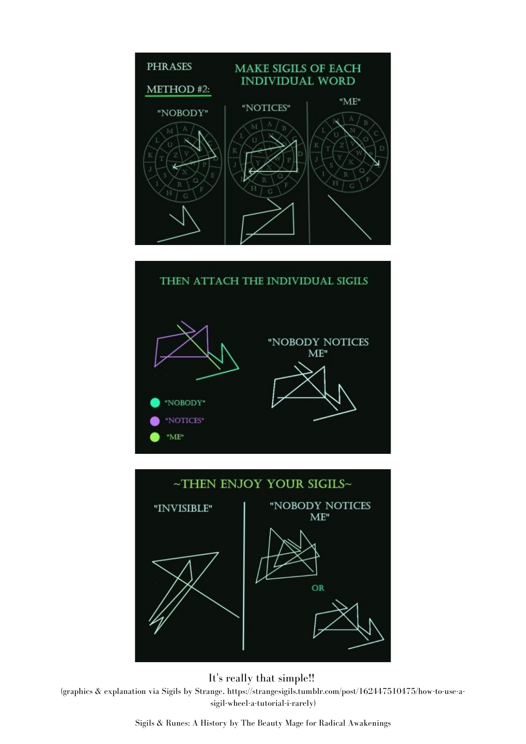

## THEN ATTACH THE INDIVIDUAL SIGILS "NOBODY NOTICES  $ME"$ "NOBODY" "NOTICES"  $"ME"$





It's really that simple!!

(graphics & explanation via Sigils by Strange, https://strangesigils.tumblr.com/post/162447510475/how-to-use-asigil-wheel-a-tutorial-i-rarely)

Sigils & Runes: A History by The Beauty Mage for Radical Awakenings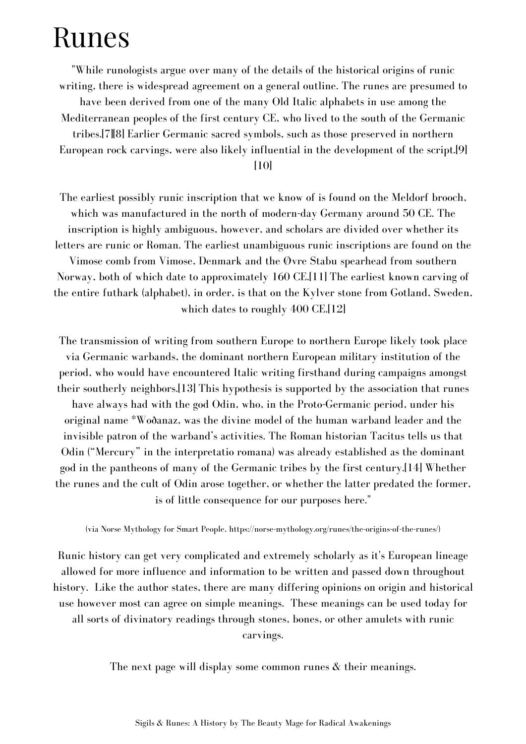### Runes

"While runologists argue over many of the details of the historical origins of runic writing, there is widespread agreement on a general outline. The runes are presumed to have been derived from one of the many Old Italic alphabets in use among the Mediterranean peoples of the first century CE, who lived to the south of the Germanic tribes.[7][8] Earlier Germanic sacred symbols, such as those preserved in northern European rock carvings, were also likely influential in the development of the script.[9]

[10]

The earliest possibly runic inscription that we know of is found on the Meldorf brooch, which was manufactured in the north of modern-day Germany around 50 CE. The inscription is highly ambiguous, however, and scholars are divided over whether its letters are runic or Roman. The earliest unambiguous runic inscriptions are found on the Vimose comb from Vimose, Denmark and the Øvre Stabu spearhead from southern Norway, both of which date to approximately 160 CE.[11] The earliest known carving of the entire futhark (alphabet), in order, is that on the Kylver stone from Gotland, Sweden, which dates to roughly 400 CE.[12]

The transmission of writing from southern Europe to northern Europe likely took place via Germanic warbands, the dominant northern European military institution of the period, who would have encountered Italic writing firsthand during campaigns amongst their southerly neighbors.[13] This hypothesis is supported by the association that runes have always had with the god Odin, who, in the Proto-Germanic period, under his original name \*Woðanaz, was the divine model of the human warband leader and the invisible patron of the warband's activities. The Roman historian Tacitus tells us that Odin ("Mercury" in the interpretatio romana) was already established as the dominant god in the pantheons of many of the Germanic tribes by the first century.[14] Whether the runes and the cult of Odin arose together, or whether the latter predated the former, is of little consequence for our purposes here."

(via Norse Mythology for Smart People, https://norse-mythology.org/runes/the-origins-of-the-runes/)

Runic history can get very complicated and extremely scholarly as it's European lineage allowed for more influence and information to be written and passed down throughout history. Like the author states, there are many differing opinions on origin and historical use however most can agree on simple meanings. These meanings can be used today for all sorts of divinatory readings through stones, bones, or other amulets with runic carvings.

The next page will display some common runes & their meanings.